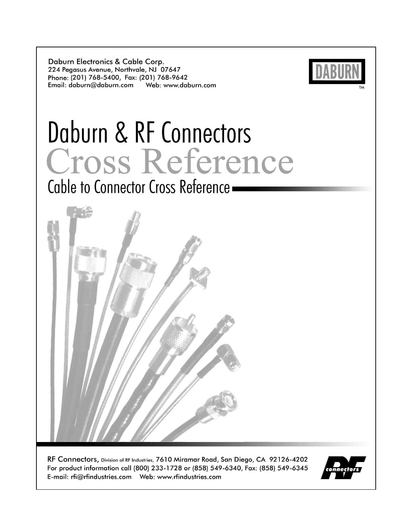Daburn Electronics & Cable Corp. 224 Pegasus Avenue, Northvale, NJ 07647 Phone: (201) 768-5400, Fax: (201) 768-9642 



# Daburn & RF Connectors Cross Reference Cable to Connector Cross Reference -



RF Connectors, Division of RF Industries, 7610 Miramar Road, San Diego, CA 92126-4202 For product information call (800) 233-1728 or (858) 549-6340, Fax: (858) 549-6345 

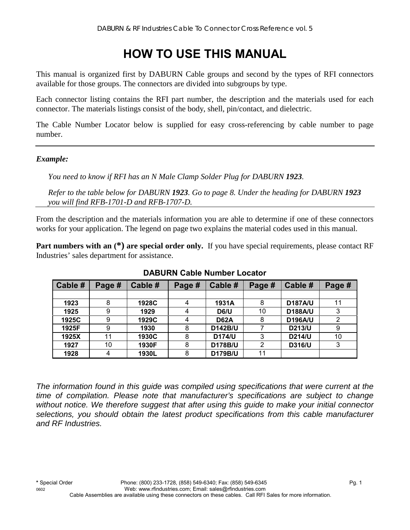# **HOW TO USE THIS MANUAL**

This manual is organized first by DABURN Cable groups and second by the types of RFI connectors available for those groups. The connectors are divided into subgroups by type.

Each connector listing contains the RFI part number, the description and the materials used for each connector. The materials listings consist of the body, shell, pin/contact, and dielectric.

The Cable Number Locator below is supplied for easy cross-referencing by cable number to page number.

### *Example:*

*You need to know if RFI has an N Male Clamp Solder Plug for DABURN 1923.* 

*Refer to the table below for DABURN 1923. Go to page 8. Under the heading for DABURN 1923 you will find RFB-1701-D and RFB-1707-D.* 

From the description and the materials information you are able to determine if one of these connectors works for your application. The legend on page two explains the material codes used in this manual.

**Part numbers with an**  $(*)$  **are special order only.** If you have special requirements, please contact RF Industries' sales department for assistance.

| Cable # | Page # | Cable # | Page # | Cable #        | Page # | Cable #        | Page # |
|---------|--------|---------|--------|----------------|--------|----------------|--------|
|         |        |         |        |                |        |                |        |
| 1923    | 8      | 1928C   |        | 1931A          | 8      | <b>D187A/U</b> | 11     |
| 1925    | 9      | 1929    |        | <b>D6/U</b>    | 10     | <b>D188A/U</b> | 3      |
| 1925C   | 9      | 1929C   |        | <b>D62A</b>    | 8      | <b>D196A/U</b> | 2      |
| 1925F   | 9      | 1930    | 8      | <b>D142B/U</b> |        | D213/U         | 9      |
| 1925X   | 11     | 1930C   | 8      | D174/U         | 3      | D214/U         | 10     |
| 1927    | 10     | 1930F   | 8      | <b>D178B/U</b> | 2      | <b>D316/U</b>  | 3      |
| 1928    |        | 1930L   | 8      | <b>D179B/U</b> | 11     |                |        |

## **DABURN Cable Number Locator**

*The information found in this guide was compiled using specifications that were current at the time of compilation. Please note that manufacturer's specifications are subject to change without notice. We therefore suggest that after using this guide to make your initial connector selections, you should obtain the latest product specifications from this cable manufacturer and RF Industries.*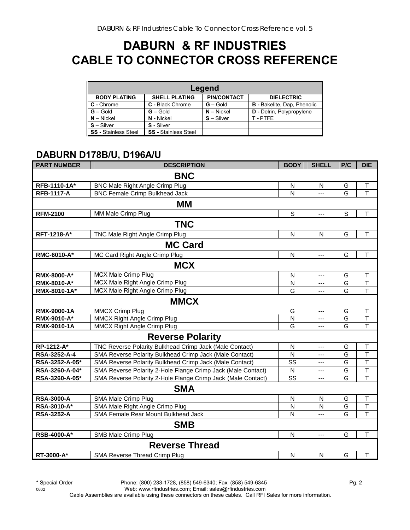## **DABURN & RF INDUSTRIES CABLE TO CONNECTOR CROSS REFERENCE**

| Legend                      |                             |                    |                                    |  |  |  |  |  |
|-----------------------------|-----------------------------|--------------------|------------------------------------|--|--|--|--|--|
| <b>BODY PLATING</b>         | <b>SHELL PLATING</b>        | <b>PIN/CONTACT</b> | <b>DIELECTRIC</b>                  |  |  |  |  |  |
| C - Chrome                  | C - Black Chrome            | $G - Gold$         | <b>B</b> - Bakelite, Dap, Phenolic |  |  |  |  |  |
| $G - Gold$                  | $G - Gold$                  | $N - Nickel$       | <b>D</b> - Delrin, Polypropylene   |  |  |  |  |  |
| $N -$ Nickel                | N - Nickel                  | $S - Silver$       | T-PTFF                             |  |  |  |  |  |
| $S -$ Silver                | S - Silver                  |                    |                                    |  |  |  |  |  |
| <b>SS</b> - Stainless Steel | <b>SS</b> - Stainless Steel |                    |                                    |  |  |  |  |  |

## **DABURN D178B/U, D196A/U**

| <b>PART NUMBER</b> | <b>DESCRIPTION</b>                                           | <b>BODY</b> | <b>SHELL</b>   | P/C         | <b>DIE</b>              |
|--------------------|--------------------------------------------------------------|-------------|----------------|-------------|-------------------------|
|                    | <b>BNC</b>                                                   |             |                |             |                         |
| RFB-1110-1A*       | <b>BNC Male Right Angle Crimp Plug</b>                       | N           | N              | G           | Τ                       |
| <b>RFB-1117-A</b>  | <b>BNC Female Crimp Bulkhead Jack</b>                        | N           | $\overline{a}$ | G           | T                       |
|                    | MМ                                                           |             |                |             |                         |
| <b>RFM-2100</b>    | MM Male Crimp Plug                                           | $\mathsf S$ | $---$          | $\mathsf S$ | $\mathsf T$             |
|                    | <b>TNC</b>                                                   |             |                |             |                         |
| RFT-1218-A*        | TNC Male Right Angle Crimp Plug                              | N           | N              | G           | Τ                       |
|                    | <b>MC Card</b>                                               |             |                |             |                         |
| RMC-6010-A*        | MC Card Right Angle Crimp Plug                               | N           | $\overline{a}$ | G           | $\mathsf{T}$            |
|                    | <b>MCX</b>                                                   |             |                |             |                         |
| <b>RMX-8000-A*</b> | MCX Male Crimp Plug                                          | N           | $---$          | G           | $\top$                  |
| RMX-8010-A*        | MCX Male Right Angle Crimp Plug                              | N           | ---            | G           | $\overline{\mathsf{T}}$ |
| RMX-8010-1A*       | MCX Male Right Angle Crimp Plug                              | G           | $---$          | G           | $\mathsf T$             |
|                    | <b>MMCX</b>                                                  |             |                |             |                         |
| <b>RMX-9000-1A</b> | <b>MMCX Crimp Plug</b>                                       | G           |                | G           | $\mathsf{T}$            |
| <b>RMX-9010-A*</b> | MMCX Right Angle Crimp Plug                                  | ${\sf N}$   | ---            | G           | $\mathsf T$             |
| <b>RMX-9010-1A</b> | MMCX Right Angle Crimp Plug                                  | G           | ---            | G           | T                       |
|                    | <b>Reverse Polarity</b>                                      |             |                |             |                         |
| RP-1212-A*         | TNC Reverse Polarity Bulkhead Crimp Jack (Male Contact)      | N           | ---            | G           | $\mathsf T$             |
| RSA-3252-A-4       | SMA Reverse Polarity Bulkhead Crimp Jack (Male Contact)      | N           | ---            | G           | $\top$                  |
| RSA-3252-A-05*     | SMA Reverse Polarity Bulkhead Crimp Jack (Male Contact)      | SS          | ---            | G           | T                       |
| RSA-3260-A-04*     | SMA Reverse Polarity 2-Hole Flange Crimp Jack (Male Contact) | N           | ---            | G           | $\top$<br>$\mathsf{T}$  |
| RSA-3260-A-05*     | SMA Reverse Polarity 2-Hole Flange Crimp Jack (Male Contact) | SS          | ---            | G           |                         |
|                    | <b>SMA</b>                                                   |             |                |             |                         |
| <b>RSA-3000-A</b>  | SMA Male Crimp Plug                                          | N           | N              | G           | Τ                       |
| RSA-3010-A*        | SMA Male Right Angle Crimp Plug                              | N           | N              | G           | $\top$                  |
| <b>RSA-3252-A</b>  | SMA Female Rear Mount Bulkhead Jack                          | N           | ---            | G           | T                       |
|                    | <b>SMB</b>                                                   |             |                |             |                         |
| <b>RSB-4000-A*</b> | SMB Male Crimp Plug                                          | N           | $---$          | G           | Τ                       |
|                    | <b>Reverse Thread</b>                                        |             |                |             |                         |
| RT-3000-A*         | SMA Reverse Thread Crimp Plug                                | ${\sf N}$   | N              | G           | $\top$                  |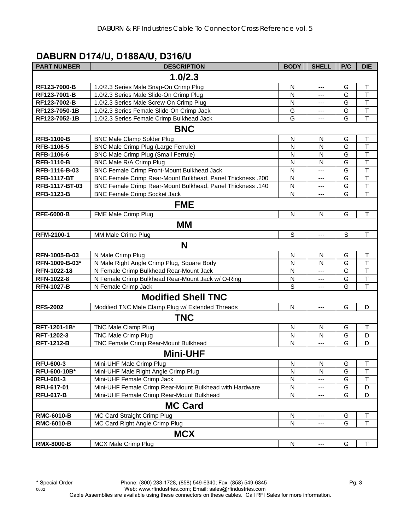## **DABURN D174/U, D188A/U, D316/U**

| <b>PART NUMBER</b> | <b>DESCRIPTION</b>                                                | <b>BODY</b> | <b>SHELL</b>             | P/C         | <b>DIE</b>              |
|--------------------|-------------------------------------------------------------------|-------------|--------------------------|-------------|-------------------------|
|                    | 1.0/2.3                                                           |             |                          |             |                         |
| RF123-7000-B       | 1.0/2.3 Series Male Snap-On Crimp Plug                            | N           | $---$                    | G           | Τ                       |
| RF123-7001-B       | 1.0/2.3 Series Male Slide-On Crimp Plug                           | N           | ---                      | G           | $\top$                  |
| RF123-7002-B       | 1.0/2.3 Series Male Screw-On Crimp Plug                           | N           | ---                      | G           | $\top$                  |
| RF123-7050-1B      | 1.0/2.3 Series Female Slide-On Crimp Jack                         | G           | ---                      | G           | $\top$                  |
| RF123-7052-1B      | 1.0/2.3 Series Female Crimp Bulkhead Jack                         | G           | ---                      | G           | $\mathsf T$             |
|                    | <b>BNC</b>                                                        |             |                          |             |                         |
| <b>RFB-1100-B</b>  | <b>BNC Male Clamp Solder Plug</b>                                 | N           | N                        | G           | $\top$                  |
| RFB-1106-5         | BNC Male Crimp Plug (Large Ferrule)                               | N           | N                        | G           | $\top$                  |
| RFB-1106-6         | <b>BNC Male Crimp Plug (Small Ferrule)</b>                        | N           | N                        | G           | $\mathsf T$             |
| <b>RFB-1110-B</b>  | BNC Male R/A Crimp Plug                                           | N           | N                        | G           | $\overline{\mathsf{T}}$ |
| RFB-1116-B-03      | BNC Female Crimp Front-Mount Bulkhead Jack                        | N           | ---                      | G           | $\top$                  |
| <b>RFB-1117-BT</b> | <b>BNC Female Crimp Rear-Mount Bulkhead, Panel Thickness .200</b> | N           | ---                      | G           | $\overline{\mathsf{T}}$ |
| RFB-1117-BT-03     | <b>BNC Female Crimp Rear-Mount Bulkhead, Panel Thickness .140</b> | N           | ---                      | G           | $\overline{\mathsf{T}}$ |
| <b>RFB-1123-B</b>  | <b>BNC Female Crimp Socket Jack</b>                               | N           | ---                      | G           | T                       |
|                    | <b>FME</b>                                                        |             |                          |             |                         |
| <b>RFE-6000-B</b>  | FME Male Crimp Plug                                               | N           | N                        | G           | $\mathsf T$             |
|                    | <b>MM</b>                                                         |             |                          |             |                         |
| RFM-2100-1         | MM Male Crimp Plug                                                | $\mathsf S$ | ---                      | $\mathbf S$ | $\top$                  |
|                    | N                                                                 |             |                          |             |                         |
| RFN-1005-B-03      | N Male Crimp Plug                                                 | N           | N                        | G           | $\mathsf T$             |
| RFN-1009-B-03*     | N Male Right Angle Crimp Plug, Square Body                        | N           | N                        | G           | $\mathsf T$             |
| RFN-1022-18        | N Female Crimp Bulkhead Rear-Mount Jack                           | N           | ---                      | G           | $\top$                  |
| RFN-1022-8         | N Female Crimp Bulkhead Rear-Mount Jack w/ O-Ring                 | N           | ---                      | G           | $\mathsf T$             |
| <b>RFN-1027-B</b>  | N Female Crimp Jack                                               | S           | ---                      | G           | $\mathsf{T}$            |
|                    | <b>Modified Shell TNC</b>                                         |             |                          |             |                         |
| <b>RFS-2002</b>    | Modified TNC Male Clamp Plug w/ Extended Threads                  | N           | ---                      | G           | D                       |
|                    | <b>TNC</b>                                                        |             |                          |             |                         |
| RFT-1201-1B*       | <b>TNC Male Clamp Plug</b>                                        | N           | N                        | G           | $\sf T$                 |
| RFT-1202-3         | <b>TNC Male Crimp Plug</b>                                        | N           | N                        | G           | D                       |
| <b>RFT-1212-B</b>  | TNC Female Crimp Rear-Mount Bulkhead                              | N           | ---                      | G           | D                       |
|                    | <b>Mini-UHF</b>                                                   |             |                          |             |                         |
| <b>RFU-600-3</b>   | Mini-UHF Male Crimp Plug                                          | N           | N                        | G           | T                       |
| RFU-600-10B*       | Mini-UHF Male Right Angle Crimp Plug                              | N           | N                        | G           | T                       |
| RFU-601-3          | Mini-UHF Female Crimp Jack                                        | N           | ---                      | G           | $\top$                  |
| RFU-617-01         | Mini-UHF Female Crimp Rear-Mount Bulkhead with Hardware           | N           | ---                      | G           | D                       |
| <b>RFU-617-B</b>   | Mini-UHF Female Crimp Rear-Mount Bulkhead                         | N           | ---                      | G           | D                       |
|                    | <b>MC Card</b>                                                    |             |                          |             |                         |
| <b>RMC-6010-B</b>  | MC Card Straight Crimp Plug                                       | N           | ---                      | G           | Τ                       |
| <b>RMC-6010-B</b>  | MC Card Right Angle Crimp Plug                                    | N           | ---                      | G           | T                       |
|                    | <b>MCX</b>                                                        |             |                          |             |                         |
| <b>RMX-8000-B</b>  | MCX Male Crimp Plug                                               | N           | $\overline{\phantom{a}}$ | G           | т                       |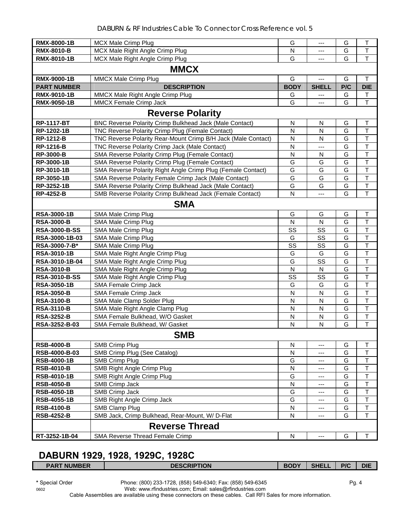| <b>RMX-8000-1B</b>                 |                                                                   |                   |                | G      |                              |  |  |  |
|------------------------------------|-------------------------------------------------------------------|-------------------|----------------|--------|------------------------------|--|--|--|
| <b>RMX-8010-B</b>                  | <b>MCX Male Crimp Plug</b><br>MCX Male Right Angle Crimp Plug     | G<br>N            | ---<br>---     | G      | Τ<br>$\top$                  |  |  |  |
| <b>RMX-8010-1B</b>                 | MCX Male Right Angle Crimp Plug                                   | G                 |                | G      | $\overline{\mathsf{T}}$      |  |  |  |
|                                    |                                                                   |                   |                |        |                              |  |  |  |
| <b>MMCX</b>                        |                                                                   |                   |                |        |                              |  |  |  |
| <b>RMX-9000-1B</b>                 | MMCX Male Crimp Plug                                              | G                 | $\overline{a}$ | G      | T                            |  |  |  |
| <b>PART NUMBER</b>                 | <b>DESCRIPTION</b>                                                | <b>BODY</b>       | <b>SHELL</b>   | P/C    | <b>DIE</b>                   |  |  |  |
| <b>RMX-9010-1B</b>                 | MMCX Male Right Angle Crimp Plug                                  | G                 |                | G      | $\mathsf T$                  |  |  |  |
| <b>RMX-9050-1B</b>                 | <b>MMCX Female Crimp Jack</b>                                     | G                 |                | G      | $\overline{\mathsf{T}}$      |  |  |  |
|                                    | <b>Reverse Polarity</b>                                           |                   |                |        |                              |  |  |  |
| <b>RP-1117-BT</b>                  | BNC Reverse Polarity Crimp Bulkhead Jack (Male Contact)           | N                 | N              | G      | Τ                            |  |  |  |
| RP-1202-1B                         | TNC Reverse Polarity Crimp Plug (Female Contact)                  | $\mathsf{N}$      | $\mathsf{N}$   | G      | $\overline{\mathsf{T}}$      |  |  |  |
| <b>RP-1212-B</b>                   | TNC Reverse Polarity Rear-Mount Crimp B/H Jack (Male Contact)     | N                 | ${\sf N}$      | G      | $\overline{\mathsf{T}}$      |  |  |  |
| <b>RP-1216-B</b>                   | TNC Reverse Polarity Crimp Jack (Male Contact)                    | N                 | $\overline{a}$ | G      | $\overline{\mathsf{T}}$      |  |  |  |
| <b>RP-3000-B</b>                   | SMA Reverse Polarity Crimp Plug (Female Contact)                  | N                 | N              | G      | $\overline{\mathsf{T}}$      |  |  |  |
| RP-3000-1B                         | SMA Reverse Polarity Crimp Plug (Female Contact)                  | G                 | G              | G      | $\overline{\mathsf{T}}$      |  |  |  |
| RP-3010-1B                         | SMA Reverse Polarity Right Angle Crimp Plug (Female Contact)      | G                 | G              | G      | T                            |  |  |  |
| RP-3050-1B                         | SMA Reverse Polarity Female Crimp Jack (Male Contact)             | G                 | G              | G      | $\overline{\mathsf{T}}$      |  |  |  |
| RP-3252-1B                         | SMA Reverse Polarity Crimp Bulkhead Jack (Male Contact)           | G                 | G              | G      | T                            |  |  |  |
| <b>RP-4252-B</b>                   | SMB Reverse Polarity Crimp Bulkhead Jack (Female Contact)         | $\mathsf{N}$      | $\overline{a}$ | G      | $\top$                       |  |  |  |
|                                    | <b>SMA</b>                                                        |                   |                |        |                              |  |  |  |
| <b>RSA-3000-1B</b>                 | SMA Male Crimp Plug                                               | G                 | G              | G      | $\top$                       |  |  |  |
| <b>RSA-3000-B</b>                  | SMA Male Crimp Plug                                               | $\mathsf{N}$      | $\mathsf{N}$   | G      | $\mathsf T$                  |  |  |  |
| <b>RSA-3000-B-SS</b>               | SMA Male Crimp Plug                                               | SS                | SS             | G      | T                            |  |  |  |
| RSA-3000-1B-03                     | SMA Male Crimp Plug                                               | G                 | SS             | G      | T                            |  |  |  |
| RSA-3000-7-B*                      | SMA Male Crimp Plug                                               | SS                | SS             | G      | $\overline{\mathsf{T}}$      |  |  |  |
| <b>RSA-3010-1B</b>                 | SMA Male Right Angle Crimp Plug                                   | G                 | G              | G      | $\mathsf T$                  |  |  |  |
| RSA-3010-1B-04                     | SMA Male Right Angle Crimp Plug                                   | G                 | SS             | G      | $\sf T$                      |  |  |  |
| <b>RSA-3010-B</b>                  | SMA Male Right Angle Crimp Plug                                   | N                 | N              | G      | $\overline{\mathsf{T}}$      |  |  |  |
| <b>RSA-3010-B-SS</b>               | SMA Male Right Angle Crimp Plug                                   | SS                | SS             | G      | T                            |  |  |  |
| <b>RSA-3050-1B</b>                 | SMA Female Crimp Jack                                             | G                 | G              | G      | T                            |  |  |  |
| <b>RSA-3050-B</b>                  | SMA Female Crimp Jack                                             | $\mathsf{N}$      | N              | G      | $\overline{\mathsf{T}}$      |  |  |  |
| <b>RSA-3100-B</b>                  | SMA Male Clamp Solder Plug                                        | $\mathsf{N}$      | N              | G      | $\overline{\mathsf{T}}$      |  |  |  |
| <b>RSA-3110-B</b>                  | SMA Male Right Angle Clamp Plug                                   | $\mathsf{N}$      | N              | G<br>G | T<br>$\overline{\mathsf{T}}$ |  |  |  |
| <b>RSA-3252-B</b><br>RSA-3252-B-03 | SMA Female Bulkhead, W/O Gasket<br>SMA Female Bulkhead, W/ Gasket | $\mathsf{N}$<br>N | N<br>N         | G      | $\overline{T}$               |  |  |  |
|                                    |                                                                   |                   |                |        |                              |  |  |  |
|                                    | <b>SMB</b>                                                        |                   |                |        |                              |  |  |  |
| <b>RSB-4000-B</b>                  | SMB Crimp Plug                                                    | N                 | ---            | G      | Т                            |  |  |  |
| RSB-4000-B-03                      | SMB Crimp Plug (See Catalog)                                      | N                 |                | G      | $\sf T$                      |  |  |  |
| <b>RSB-4000-1B</b>                 | <b>SMB Crimp Plug</b>                                             | G                 |                | G      | T                            |  |  |  |
| <b>RSB-4010-B</b>                  | SMB Right Angle Crimp Plug                                        | N                 |                | G      | T                            |  |  |  |
| <b>RSB-4010-1B</b>                 | SMB Right Angle Crimp Plug                                        | G                 | ---            | G      | $\overline{\mathsf{T}}$      |  |  |  |
| <b>RSB-4050-B</b>                  | SMB Crimp Jack                                                    | $\mathsf{N}$      | ---            | G      | $\mathsf T$                  |  |  |  |
| <b>RSB-4050-1B</b>                 | SMB Crimp Jack                                                    | G                 | ---            | G      | $\sf T$                      |  |  |  |
| <b>RSB-4055-1B</b>                 | SMB Right Angle Crimp Jack                                        | G                 | ---            | G      | $\overline{\mathsf{T}}$      |  |  |  |
| <b>RSB-4100-B</b>                  | SMB Clamp Plug                                                    | N                 | ---            | G      | $\mathsf T$<br>T             |  |  |  |
| <b>RSB-4252-B</b>                  | SMB Jack, Crimp Bulkhead, Rear-Mount, W/ D-Flat                   | N                 | ---            | G      |                              |  |  |  |
|                                    | <b>Reverse Thread</b>                                             |                   |                |        |                              |  |  |  |
| RT-3252-1B-04                      | SMA Reverse Thread Female Crimp                                   | $\mathsf{N}$      | $\overline{a}$ | G      | T                            |  |  |  |

## **DABURN 1929, 1928, 1929C, 1928C**

| <b>PART NUMBER</b> | <b>DESCRIPTION</b> | <b>BODY</b> | <b>SHELL</b> | P/C | <b>DIE</b> |
|--------------------|--------------------|-------------|--------------|-----|------------|
|                    |                    |             |              |     |            |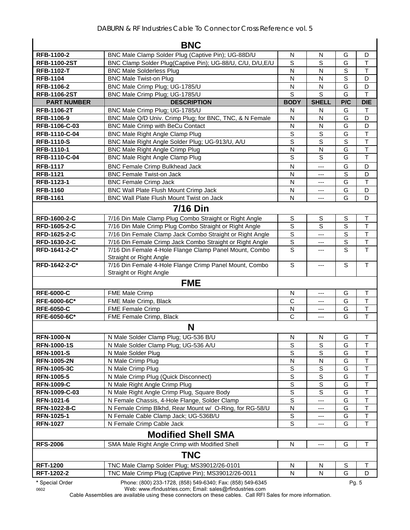| <b>BNC</b>          |                                                                                   |                |                          |             |                         |  |
|---------------------|-----------------------------------------------------------------------------------|----------------|--------------------------|-------------|-------------------------|--|
| RFB-1100-2          | BNC Male Clamp Solder Plug (Captive Pin); UG-88D/U                                | N              | N                        | G           | D                       |  |
| <b>RFB-1100-2ST</b> | BNC Clamp Solder Plug(Captive Pin); UG-88/U, C/U, D/U, E/U                        | $\mathbf S$    | S                        | G           | T                       |  |
| <b>RFB-1102-T</b>   | <b>BNC Male Solderless Plug</b>                                                   | N              | N                        | S           | T                       |  |
| <b>RFB-1104</b>     | <b>BNC Male Twist-on Plug</b>                                                     | N              | $\mathsf{N}$             | S           | D                       |  |
| RFB-1106-2          | BNC Male Crimp Plug; UG-1785/U                                                    | N              | N                        | G           | D                       |  |
| <b>RFB-1106-2ST</b> | BNC Male Crimp Plug; UG-1785/U                                                    | S              | S                        | G           | T                       |  |
| <b>PART NUMBER</b>  | <b>DESCRIPTION</b>                                                                | <b>BODY</b>    | <b>SHELL</b>             | P/C         | <b>DIE</b>              |  |
| <b>RFB-1106-2T</b>  | BNC Male Crimp Plug; UG-1785/U                                                    | N              | N                        | G           | т                       |  |
| RFB-1106-9          | BNC Male Q/D Univ. Crimp Plug; for BNC, TNC, & N Female                           | N              | N                        | G           | D                       |  |
| RFB-1106-C-03       | BNC Male Crimp with BeCu Contact                                                  | N              | N                        | G           | D                       |  |
| RFB-1110-C-04       | <b>BNC Male Right Angle Clamp Plug</b>                                            | $\mathsf{S}$   | $\mathsf S$              | G           | $\overline{\mathsf{T}}$ |  |
| <b>RFB-1110-S</b>   | BNC Male Right Angle Solder Plug; UG-913/U, A/U                                   | S              | S                        | S           | $\mathsf T$             |  |
| RFB-1110-1          | <b>BNC Male Right Angle Crimp Plug</b>                                            | N              | N                        | G           | $\top$                  |  |
| RFB-1110-C-04       | BNC Male Right Angle Clamp Plug                                                   | S              | S                        | G           | $\mathsf T$             |  |
| <b>RFB-1117</b>     | <b>BNC Female Crimp Bulkhead Jack</b>                                             | N              | $\overline{a}$           | G           | D                       |  |
| <b>RFB-1121</b>     | <b>BNC Female Twist-on Jack</b>                                                   | N              | ---                      | S           | D                       |  |
| RFB-1123-1          | <b>BNC Female Crimp Jack</b>                                                      | N              | ---                      | G           | $\mathsf T$             |  |
| <b>RFB-1160</b>     | BNC Wall Plate Flush Mount Crimp Jack                                             | N              | ---                      | G           | D                       |  |
| <b>RFB-1161</b>     | BNC Wall Plate Flush Mount Twist on Jack                                          | N              | $\overline{a}$           | G           | D                       |  |
|                     | <b>7/16 Din</b>                                                                   |                |                          |             |                         |  |
| RFD-1600-2-C        | 7/16 Din Male Clamp Plug Combo Straight or Right Angle                            | $\mathbb S$    | S                        | S           | $\top$                  |  |
| RFD-1605-2-C        | 7/16 Din Male Crimp Plug Combo Straight or Right Angle                            | S              | S                        | S           | $\mathsf T$             |  |
| RFD-1625-2-C        | 7/16 Din Female Clamp Jack Combo Straight or Right Angle                          | $\mathsf{S}$   | ---                      | S           | $\overline{\mathsf{T}}$ |  |
| RFD-1630-2-C        | 7/16 Din Female Crimp Jack Combo Straight or Right Angle                          | $\mathsf S$    | ---                      | $\mathbf S$ | $\mathsf T$             |  |
| RFD-1641-2-C*       | 7/16 Din Female 4-Hole Flange Clamp Panel Mount, Combo<br>Straight or Right Angle | S              | ---                      | S           | $\mathsf{T}$            |  |
| RFD-1642-2-C*       | 7/16 Din Female 4-Hole Flange Crimp Panel Mount, Combo<br>Straight or Right Angle | $\mathbf S$    | ---                      | S           | $\mathsf{T}$            |  |
|                     | <b>FME</b>                                                                        |                |                          |             |                         |  |
| <b>RFE-6000-C</b>   | FME Male Crimp                                                                    | N              | ---                      | G           | $\top$                  |  |
| RFE-6000-6C*        | FME Male Crimp, Black                                                             | C              | ---                      | G           | $\mathsf{T}$            |  |
| <b>RFE-6050-C</b>   | <b>FME Female Crimp</b>                                                           | N              | $---$                    | G           | $\overline{\mathsf{T}}$ |  |
| RFE-6050-6C*        | FME Female Crimp, Black                                                           | C              | $\overline{\phantom{a}}$ | G           | $\mathsf T$             |  |
|                     | N                                                                                 |                |                          |             |                         |  |
| <b>RFN-1000-N</b>   | N Male Solder Clamp Plug; UG-536 B/U                                              | ${\sf N}$      | N                        | G           | $\sf T$                 |  |
| <b>RFN-1000-1S</b>  | N Male Solder Clamp Plug; UG-536 A/U                                              | S              | S                        | G           | $\top$                  |  |
| <b>RFN-1001-S</b>   | N Male Solder Plug                                                                | S              | S                        | G           | Τ                       |  |
| <b>RFN-1005-2N</b>  | N Male Crimp Plug                                                                 | N              | N                        | G           | T                       |  |
| <b>RFN-1005-3C</b>  | N Male Crimp Plug                                                                 | $\mathbb S$    | S                        | G           | Τ                       |  |
| <b>RFN-1005-5</b>   | N Male Crimp Plug (Quick Disconnect)                                              | $\mathsf S$    | S                        | G           | $\top$                  |  |
| <b>RFN-1009-C</b>   | N Male Right Angle Crimp Plug                                                     | $\mathbb S$    | S                        | G           | T                       |  |
| RFN-1009-C-03       | N Male Right Angle Crimp Plug, Square Body                                        | $\overline{s}$ | S                        | G           | $\top$                  |  |
| RFN-1021-6          | N Female Chassis, 4-Hole Flange, Solder Clamp                                     | $\mathsf S$    | ---                      | G           | $\mathsf T$             |  |
| <b>RFN-1022-8-C</b> | N Female Crimp Blkhd, Rear Mount w/ O-Ring, for RG-58/U                           | N              |                          | G           | т                       |  |
| RFN-1025-1          | N Female Cable Clamp Jack; UG-536B/U                                              | $\mathbb S$    | ---                      | G           | Τ                       |  |
| <b>RFN-1027</b>     | N Female Crimp Cable Jack                                                         | S              | ---                      | G           | T                       |  |
|                     | <b>Modified Shell SMA</b>                                                         |                |                          |             |                         |  |
| <b>RFS-2006</b>     | SMA Male Right Angle Crimp with Modified Shell                                    | ${\sf N}$      | ---                      | G           | Τ                       |  |
|                     | <b>TNC</b>                                                                        |                |                          |             |                         |  |
| <b>RFT-1200</b>     | TNC Male Clamp Solder Plug; MS39012/26-0101                                       | N              | N                        | S           | Т                       |  |
| RFT-1202-2          | TNC Male Crimp Plug (Captive Pin); MS39012/26-0011                                | N              | N                        | G           | D                       |  |
| * Special Order     | Phone: (800) 233-1728, (858) 549-6340; Fax: (858) 549-6345                        |                |                          | Pg. 5       |                         |  |

0602 Web: www.rfindustries.com; Email: sales@rfindustries.com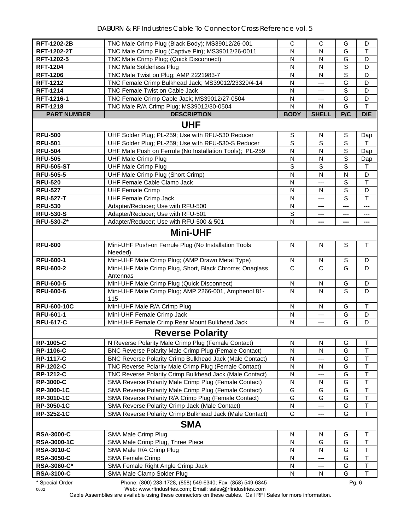| <b>RFT-1202-2B</b>       | TNC Male Crimp Plug (Black Body); MS39012/26-001                    | C                       | C              | G           | D                |
|--------------------------|---------------------------------------------------------------------|-------------------------|----------------|-------------|------------------|
| RFT-1202-2T              | TNC Male Crimp Plug (Captive Pin); MS39012/26-0011                  | N                       | N              | G           | $\top$           |
| RFT-1202-5               | TNC Male Crimp Plug; (Quick Disconnect)                             | N                       | $\mathsf{N}$   | G           | D                |
| <b>RFT-1204</b>          | <b>TNC Male Solderless Plug</b>                                     | $\mathsf{N}$            | N              | $\mathsf S$ | D                |
| <b>RFT-1206</b>          | TNC Male Twist on Plug; AMP 2221983-7                               | N                       | N              | $\mathbb S$ | D                |
| <b>RFT-1212</b>          | TNC Female Crimp Bulkhead Jack; MS39012/23329/4-14                  | N                       | $\overline{a}$ | G           | D                |
| <b>RFT-1214</b>          | TNC Female Twist on Cable Jack                                      | $\mathsf{N}$            | ---            | S           | D                |
| RFT-1216-1               | TNC Female Crimp Cable Jack; MS39012/27-0504                        | N                       | ---            | G           | D                |
| <b>RFT-1218</b>          | TNC Male R/A Crimp Plug; MS39012/30-0504                            | N                       | N              | G           | T                |
| <b>PART NUMBER</b>       | <b>DESCRIPTION</b>                                                  | <b>BODY</b>             | <b>SHELL</b>   | P/C         | <b>DIE</b>       |
|                          | <b>UHF</b>                                                          |                         |                |             |                  |
| <b>RFU-500</b>           | UHF Solder Plug; PL-259; Use with RFU-530 Reducer                   | S                       | N              | S           | Dap              |
| <b>RFU-501</b>           | UHF Solder Plug; PL-259; Use with RFU-530-S Reducer                 | S                       | S              | S           | Τ                |
| <b>RFU-504</b>           | UHF Male Push on Ferrule (No Installation Tools); PL-259            | N                       | N              | S           | Dap              |
| <b>RFU-505</b>           | <b>UHF Male Crimp Plug</b>                                          | $\mathsf{N}$            | N              | S           | Dap              |
| <b>RFU-505-ST</b>        | <b>UHF Male Crimp Plug</b>                                          | $\mathsf S$             | S              | S           | Τ                |
| <b>RFU-505-5</b>         | UHF Male Crimp Plug (Short Crimp)                                   | N                       | N              | N           | D                |
| <b>RFU-520</b>           | UHF Female Cable Clamp Jack                                         | N                       | ---            | S           | $\mathsf T$      |
| <b>RFU-527</b>           | <b>UHF Female Crimp</b>                                             | $\overline{\mathsf{N}}$ | N              | S           | D                |
| <b>RFU-527-T</b>         | <b>UHF Female Crimp Jack</b>                                        | $\mathsf{N}$            | ---            | S           | $\mathsf{T}$     |
| <b>RFU-530</b>           | Adapter/Reducer; Use with RFU-500                                   | N                       | ---            | ---         | ---              |
| <b>RFU-530-S</b>         | Adapter/Reducer; Use with RFU-501                                   | $\mathsf S$             | ---            | ---         | ---              |
| <b>RFU-530-Z*</b>        | Adapter/Reducer; Use with RFU-500 & 501                             | $\overline{\mathsf{N}}$ | ---            | ---         | ---              |
|                          | <b>Mini-UHF</b>                                                     |                         |                |             |                  |
| <b>RFU-600</b>           | Mini-UHF Push-on Ferrule Plug (No Installation Tools<br>Needed)     | N                       | N              | S           | $\top$           |
| <b>RFU-600-1</b>         | Mini-UHF Male Crimp Plug; (AMP Drawn Metal Type)                    | N                       | N              | $\mathbb S$ | D                |
| <b>RFU-600-2</b>         | Mini-UHF Male Crimp Plug, Short, Black Chrome; Onaglass<br>Antennas | $\mathsf{C}$            | $\mathsf{C}$   | G           | D                |
| <b>RFU-600-5</b>         | Mini-UHF Male Crimp Plug (Quick Disconnect)                         | N                       | N              | G           | D                |
| <b>RFU-600-6</b>         | Mini-UHF Male Crimp Plug; AMP 2266-001, Amphenol 81-<br>115         | ${\sf N}$               | N              | S           | D                |
| <b>RFU-600-10C</b>       | Mini-UHF Male R/A Crimp Plug                                        | $\mathsf{N}$            | N              | G           | $\mathsf T$      |
| <b>RFU-601-1</b>         | Mini-UHF Female Crimp Jack                                          | N                       | ---            | G           | D                |
| <b>RFU-617-C</b>         | Mini-UHF Female Crimp Rear Mount Bulkhead Jack                      | N                       | ---            | G           | D                |
|                          |                                                                     |                         |                |             |                  |
|                          | <b>Reverse Polarity</b>                                             |                         |                |             |                  |
| <b>RP-1005-C</b>         | N Reverse Polarity Male Crimp Plug (Female Contact)                 | N                       | N              | G           | Τ                |
| <b>RP-1106-C</b>         | BNC Reverse Polarity Male Crimp Plug (Female Contact)               | N                       | N              | G           | $\top$           |
| <b>RP-1117-C</b>         | BNC Reverse Polarity Crimp Bulkhead Jack (Male Contact)             | N                       |                | G           | $\mathsf T$      |
| <b>RP-1202-C</b>         | TNC Reverse Polarity Male Crimp Plug (Female Contact)               | N                       | N              | G           | T                |
| RP-1212-C                | TNC Reverse Polarity Crimp Bulkhead Jack (Male Contact)             | N                       | ---            | G           | T                |
| <b>RP-3000-C</b>         | SMA Reverse Polarity Male Crimp Plug (Female Contact)               | N                       | N              | G           | T                |
| RP-3000-1C               | SMA Reverse Polarity Male Crimp Plug (Female Contact)               | G                       | G              | G           | T                |
| RP-3010-1C               | SMA Reverse Polarity R/A Crimp Plug (Female Contact)                | G                       | G              | G           | T<br>$\mathsf T$ |
| RP-3050-1C<br>RP-3252-1C | SMA Reverse Polarity Crimp Jack (Male Contact)                      | N<br>G                  |                | G<br>G      | $\mathsf T$      |
|                          | SMA Reverse Polarity Crimp Bulkhead Jack (Male Contact)             |                         | ---            |             |                  |
|                          | <b>SMA</b>                                                          |                         |                |             |                  |
| <b>RSA-3000-C</b>        | SMA Male Crimp Plug                                                 | N                       | N              | G           | Т                |
| <b>RSA-3000-1C</b>       | SMA Male Crimp Plug, Three Piece                                    | N                       | G              | G           | Т                |
| <b>RSA-3010-C</b>        | SMA Male R/A Crimp Plug                                             | N                       | N              | G           | T                |
| <b>RSA-3050-C</b>        | <b>SMA Female Crimp</b>                                             | N                       | ---            | G           | $\top$           |
| RSA-3060-C*              | SMA Female Right Angle Crimp Jack                                   | N                       | ---            | G           | $\sf T$          |
| <b>RSA-3100-C</b>        | SMA Male Clamp Solder Plug                                          | N                       | N              | G           | $\top$           |

**\*** Special Order Phone: (800) 233-1728, (858) 549-6340; Fax: (858) 549-6345 Pg. 6

0602 Web: www.rfindustries.com; Email: sales@rfindustries.com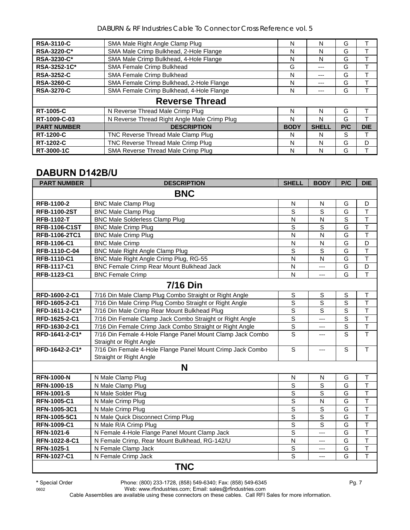DABURN & RF Industries Cable To Connector Cross Reference vol. 5

| <b>RSA-3110-C</b>  | SMA Male Right Angle Clamp Plug              | N           | N            | G   |            |
|--------------------|----------------------------------------------|-------------|--------------|-----|------------|
| <b>RSA-3220-C*</b> | SMA Male Crimp Bulkhead, 2-Hole Flange       | N           | N            | G   |            |
| RSA-3230-C*        | SMA Male Crimp Bulkhead, 4-Hole Flange       | N           | N            | G   |            |
| RSA-3252-1C*       | SMA Female Crimp Bulkhead                    | G           | $---$        | G   |            |
| <b>RSA-3252-C</b>  | SMA Female Crimp Bulkhead                    | N           | $---$        | G   |            |
| <b>RSA-3260-C</b>  | SMA Female Crimp Bulkhead, 2-Hole Flange     | N           | $---$        | G   |            |
| <b>RSA-3270-C</b>  | SMA Female Crimp Bulkhead, 4-Hole Flange     | N           | $---$        | G   |            |
|                    | <b>Reverse Thread</b>                        |             |              |     |            |
| <b>RT-1005-C</b>   | N Reverse Thread Male Crimp Plug             | N           | N            | G   |            |
| RT-1009-C-03       | N Reverse Thread Right Angle Male Crimp Plug | N           | N            | G   |            |
| <b>PART NUMBER</b> | <b>DESCRIPTION</b>                           | <b>BODY</b> | <b>SHELL</b> | P/C | <b>DIE</b> |
| <b>RT-1200-C</b>   | TNC Reverse Thread Male Clamp Plug           | N           | N            | S   |            |
| <b>RT-1202-C</b>   | TNC Reverse Thread Male Crimp Plug           | N           | N            | G   | D          |
| RT-3000-1C         | SMA Reverse Thread Male Crimp Plug           | N           | N            | G   |            |

## **DABURN D142B/U**

| <b>PART NUMBER</b>   | <b>DESCRIPTION</b>                                         | <b>SHELL</b>   | <b>BODY</b>    | P/C         | <b>DIE</b>              |
|----------------------|------------------------------------------------------------|----------------|----------------|-------------|-------------------------|
|                      | <b>BNC</b>                                                 |                |                |             |                         |
| RFB-1100-2           | <b>BNC Male Clamp Plug</b>                                 | N              | N              | G           | D                       |
| <b>RFB-1100-2ST</b>  | <b>BNC Male Clamp Plug</b>                                 | S              | S              | G           | T                       |
| <b>RFB-1102-T</b>    | <b>BNC Male Solderless Clamp Plug</b>                      | ${\sf N}$      | N              | S           | $\mathsf{T}$            |
| <b>RFB-1106-C1ST</b> | <b>BNC Male Crimp Plug</b>                                 | S              | S              | G           | $\mathsf T$             |
| RFB-1106-2TC1        | <b>BNC Male Crimp Plug</b>                                 | $\mathsf{N}$   | N              | G           | $\mathsf T$             |
| RFB-1106-C1          | <b>BNC Male Crimp</b>                                      | $\mathsf{N}$   | N              | G           | D                       |
| RFB-1110-C-04        | <b>BNC Male Right Angle Clamp Plug</b>                     | S              | S              | G           | $\overline{\mathsf{T}}$ |
| RFB-1110-C1          | BNC Male Right Angle Crimp Plug, RG-55                     | $\mathsf{N}$   | N              | G           | $\overline{\mathsf{T}}$ |
| RFB-1117-C1          | <b>BNC Female Crimp Rear Mount Bulkhead Jack</b>           | $\mathsf{N}$   | ---            | G           | D                       |
| RFB-1123-C1          | <b>BNC Female Crimp</b>                                    | N              | $---$          | G           | T                       |
|                      | <b>7/16 Din</b>                                            |                |                |             |                         |
| RFD-1600-2-C1        | 7/16 Din Male Clamp Plug Combo Straight or Right Angle     | S              | S              | S           | $\mathsf T$             |
| RFD-1605-2-C1        | 7/16 Din Male Crimp Plug Combo Straight or Right Angle     | $\overline{s}$ | $\overline{s}$ | S           | $\overline{\mathsf{T}}$ |
| RFD-1611-2-C1*       | 7/16 Din Male Crimp Rear Mount Bulkhead Plug               | S              | S              | S           | $\overline{\mathsf{T}}$ |
| RFD-1625-2-C1        | 7/16 Din Female Clamp Jack Combo Straight or Right Angle   | S              | $\overline{a}$ | S           | $\overline{\mathsf{T}}$ |
| RFD-1630-2-C1        | 7/16 Din Female Crimp Jack Combo Straight or Right Angle   | $\overline{s}$ | $\overline{a}$ | $\mathsf S$ | $\overline{\mathsf{T}}$ |
| RFD-1641-2-C1*       | 7/16 Din Female 4-Hole Flange Panel Mount Clamp Jack Combo | $\overline{s}$ | ---            | S           | $\overline{\mathsf{T}}$ |
|                      | Straight or Right Angle                                    |                |                |             |                         |
| RFD-1642-2-C1*       | 7/16 Din Female 4-Hole Flange Panel Mount Crimp Jack Combo | S              | ---            | S           | $\mathsf{T}$            |
|                      | Straight or Right Angle                                    |                |                |             |                         |
|                      | N                                                          |                |                |             |                         |
| <b>RFN-1000-N</b>    | N Male Clamp Plug                                          | $\mathsf{N}$   | $\mathsf{N}$   | G           | $\overline{\mathsf{T}}$ |
| <b>RFN-1000-1S</b>   | N Male Clamp Plug                                          | S              | S              | G           | $\mathsf{T}$            |
| <b>RFN-1001-S</b>    | N Male Solder Plug                                         | S              | $\overline{s}$ | G           | $\overline{\mathsf{T}}$ |
| <b>RFN-1005-C1</b>   | N Male Crimp Plug                                          | $\mathsf S$    | N              | G           | $\overline{\mathsf{T}}$ |
| RFN-1005-3C1         | N Male Crimp Plug                                          | S              | S              | G           | $\overline{\mathsf{T}}$ |
| RFN-1005-5C1         | N Male Quick Disconnect Crimp Plug                         | S              | S              | G           | T                       |
| RFN-1009-C1          | N Male R/A Crimp Plug                                      | $\overline{s}$ | S              | G           | $\overline{\mathsf{T}}$ |
| RFN-1021-6           | N Female 4-Hole Flange Panel Mount Clamp Jack              | $\overline{s}$ | ---            | G           | $\overline{\mathsf{T}}$ |
| RFN-1022-8-C1        | N Female Crimp, Rear Mount Bulkhead, RG-142/U              | N              | $\overline{a}$ | G           | $\overline{\mathsf{T}}$ |
| RFN-1025-1           | N Female Clamp Jack                                        | S              | $---$          | G           | $\mathsf{T}$            |
| <b>RFN-1027-C1</b>   | N Female Crimp Jack                                        | S              | $---$          | G           | T                       |
|                      | <b>TNC</b>                                                 |                |                |             |                         |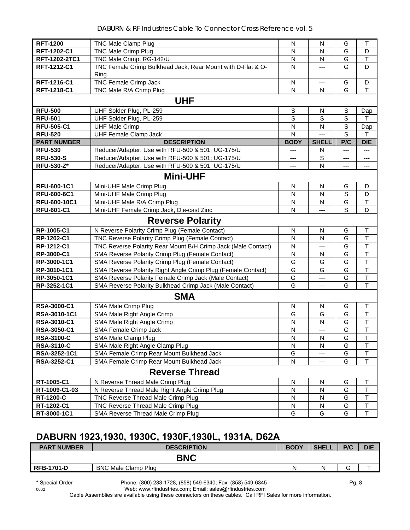#### DABURN & RF Industries Cable To Connector Cross Reference vol. 5

| <b>RFT-1200</b>    | TNC Male Clamp Plug                                           | N            | N            | G   | Τ                       |
|--------------------|---------------------------------------------------------------|--------------|--------------|-----|-------------------------|
| RFT-1202-C1        | <b>TNC Male Crimp Plug</b>                                    | N            | N            | G   | D                       |
| RFT-1202-2TC1      | TNC Male Crimp, RG-142/U                                      | N            | N            | G   | $\top$                  |
| RFT-1212-C1        | TNC Female Crimp Bulkhead Jack, Rear Mount with D-Flat & O-   | N            | ---          | G   | D                       |
|                    | Rina                                                          |              |              |     |                         |
| RFT-1216-C1        | <b>TNC Female Crimp Jack</b>                                  | N            | ---          | G   | D                       |
| RFT-1218-C1        | TNC Male R/A Crimp Plug                                       | N            | N            | G   | $\mathsf T$             |
|                    | <b>UHF</b>                                                    |              |              |     |                         |
| <b>RFU-500</b>     | UHF Solder Plug, PL-259                                       | $\mathbb S$  | N            | S   | Dap                     |
| <b>RFU-501</b>     | UHF Solder Plug, PL-259                                       | $\mathsf S$  | S            | S   | т                       |
| <b>RFU-505-C1</b>  | <b>UHF Male Crimp</b>                                         | N            | $\mathsf{N}$ | S   | Dap                     |
| <b>RFU-520</b>     | <b>UHF Female Clamp Jack</b>                                  | N            | ---          | S   | Т                       |
| <b>PART NUMBER</b> | <b>DESCRIPTION</b>                                            | <b>BODY</b>  | <b>SHELL</b> | P/C | <b>DIE</b>              |
| <b>RFU-530</b>     | Reducer/Adapter, Use with RFU-500 & 501; UG-175/U             | ---          | N            | --- | ---                     |
| <b>RFU-530-S</b>   | Reducer/Adapter, Use with RFU-500 & 501; UG-175/U             | ---          | S            | --- | ---                     |
| RFU-530-Z*         | Reducer/Adapter, Use with RFU-500 & 501; UG-175/U             | ---          | N            | --- | ---                     |
|                    | <b>Mini-UHF</b>                                               |              |              |     |                         |
| RFU-600-1C1        | Mini-UHF Male Crimp Plug                                      | $\mathsf{N}$ | N            | G   | D                       |
| RFU-600-6C1        | Mini-UHF Male Crimp Plug                                      | N            | $\mathsf{N}$ | S   | D                       |
| RFU-600-10C1       | Mini-UHF Male R/A Crimp Plug                                  | N            | N            | G   | $\mathsf T$             |
| <b>RFU-601-C1</b>  | Mini-UHF Female Crimp Jack, Die-cast Zinc                     | N            | ---          | S   | D                       |
|                    | <b>Reverse Polarity</b>                                       |              |              |     |                         |
| RP-1005-C1         | N Reverse Polarity Crimp Plug (Female Contact)                | N            | N            | G   | T                       |
| RP-1202-C1         | TNC Reverse Polarity Crimp Plug (Female Contact)              | N            | N            | G   | $\overline{\mathsf{T}}$ |
| RP-1212-C1         | TNC Reverse Polarity Rear Mount B/H Crimp Jack (Male Contact) | N            | ---          | G   | $\overline{\mathsf{T}}$ |
| RP-3000-C1         | SMA Reverse Polarity Crimp Plug (Female Contact)              | N            | N            | G   | $\overline{\mathsf{T}}$ |
| RP-3000-1C1        | SMA Reverse Polarity Crimp Plug (Female Contact)              | G            | G            | G   | $\overline{\mathsf{T}}$ |
| RP-3010-1C1        | SMA Reverse Polarity Right Angle Crimp Plug (Female Contact)  | G            | G            | G   | $\overline{\mathsf{T}}$ |
| RP-3050-1C1        | SMA Reverse Polarity Female Crimp Jack (Male Contact)         | G            | ---          | G   | $\overline{\mathsf{T}}$ |
| RP-3252-1C1        | SMA Reverse Polarity Bulkhead Crimp Jack (Male Contact)       | G            | ---          | G   | $\mathsf T$             |
|                    | <b>SMA</b>                                                    |              |              |     |                         |
| <b>RSA-3000-C1</b> | SMA Male Crimp Plug                                           | N            | N            | G   | $\top$                  |
| RSA-3010-1C1       | SMA Male Right Angle Crimp                                    | G            | G            | G   | $\top$                  |
| RSA-3010-C1        | SMA Male Right Angle Crimp                                    | N            | $\mathsf{N}$ | G   | $\overline{\mathsf{T}}$ |
| RSA-3050-C1        | SMA Female Crimp Jack                                         | N            | ---          | G   | $\overline{\mathsf{T}}$ |
| <b>RSA-3100-C</b>  | SMA Male Clamp Plug                                           | ${\sf N}$    | ${\sf N}$    | G   | $\overline{\mathsf{T}}$ |
| <b>RSA-3110-C</b>  | SMA Male Right Angle Clamp Plug                               | N            | N            | G   | $\overline{\mathsf{T}}$ |
| RSA-3252-1C1       | SMA Female Crimp Rear Mount Bulkhead Jack                     | G            |              | G   | T                       |
| RSA-3252-C1        | SMA Female Crimp Rear Mount Bulkhead Jack                     | N            |              | G   | T                       |
|                    | <b>Reverse Thread</b>                                         |              |              |     |                         |
| RT-1005-C1         | N Reverse Thread Male Crimp Plug                              | N            | N            | G   | T                       |
| RT-1009-C1-03      | N Reverse Thread Male Right Angle Crimp Plug                  | N            | N            | G   | $\top$                  |
| <b>RT-1200-C</b>   | TNC Reverse Thread Male Crimp Plug                            | N            | N            | G   | T                       |
| RT-1202-C1         | TNC Reverse Thread Male Crimp Plug                            | N            | N            | G   | $\top$                  |
| RT-3000-1C1        | SMA Reverse Thread Male Crimp Plug                            | G            | G            | G   | $\mathsf T$             |

## **DABURN 1923,1930, 1930C, 1930F,1930L, 1931A, D62A**

| <b>PART NUMBER</b> | <b>DESCRIPTION</b>         | <b>BODY</b> | <b>SHELL</b> | P/C | <b>DIE</b> |
|--------------------|----------------------------|-------------|--------------|-----|------------|
|                    | <b>BNC</b>                 |             |              |     |            |
| <b>RFB-1701-D</b>  | <b>BNC Male Clamp Plug</b> | Ν           | N            | ∽   |            |
|                    |                            |             |              |     |            |

**\*** Special Order Phone: (800) 233-1728, (858) 549-6340; Fax: (858) 549-6345 Pg. 8

Web: www.rfindustries.com; Email: sales@rfindustries.com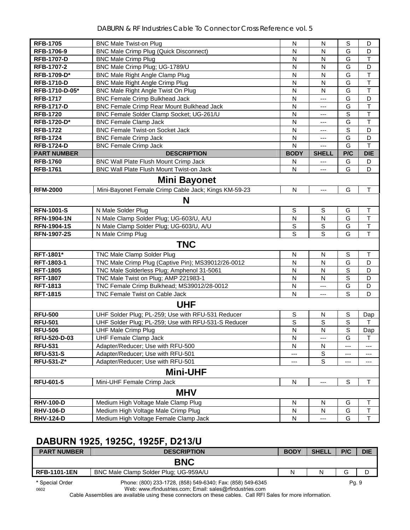| <b>RFB-1705</b>     | <b>BNC Male Twist-on Plug</b>                        | N                       | N              | S           | D                       |  |  |
|---------------------|------------------------------------------------------|-------------------------|----------------|-------------|-------------------------|--|--|
| RFB-1706-9          | <b>BNC Male Crimp Plug (Quick Disconnect)</b>        | N                       | N              | G           | D                       |  |  |
| <b>RFB-1707-D</b>   | <b>BNC Male Crimp Plug</b>                           | N                       | N              | G           | T                       |  |  |
| RFB-1707-2          | BNC Male Crimp Plug; UG-1789/U                       | N                       | N              | G           | D                       |  |  |
| RFB-1709-D*         | <b>BNC Male Right Angle Clamp Plug</b>               | N                       | N              | G           | T                       |  |  |
| <b>RFB-1710-D</b>   | <b>BNC Male Right Angle Crimp Plug</b>               | N                       | N              | G           | $\top$                  |  |  |
| RFB-1710-D-05*      | BNC Male Right Angle Twist On Plug                   | N                       | N              | G           | T                       |  |  |
| <b>RFB-1717</b>     | <b>BNC Female Crimp Bulkhead Jack</b>                | N                       | ---            | G           | D                       |  |  |
| <b>RFB-1717-D</b>   | BNC Female Crimp Rear Mount Bulkhead Jack            | N                       | ---            | G           | $\overline{\mathsf{T}}$ |  |  |
| <b>RFB-1720</b>     | BNC Female Solder Clamp Socket; UG-261/U             | N                       | ---            | S           | $\top$                  |  |  |
| RFB-1720-D*         | <b>BNC Female Clamp Jack</b>                         | N                       | ---            | G           | $\overline{\mathsf{T}}$ |  |  |
| <b>RFB-1722</b>     | <b>BNC Female Twist-on Socket Jack</b>               | N                       | ---            | $\mathsf S$ | D                       |  |  |
| <b>RFB-1724</b>     | <b>BNC Female Crimp Jack</b>                         | N                       | $---$          | G           | D                       |  |  |
| <b>RFB-1724-D</b>   | <b>BNC Female Crimp Jack</b>                         | ${\sf N}$               | ---            | G           | $\overline{\mathsf{T}}$ |  |  |
| <b>PART NUMBER</b>  | <b>DESCRIPTION</b>                                   | <b>BODY</b>             | <b>SHELL</b>   | P/C         | <b>DIE</b>              |  |  |
| <b>RFB-1760</b>     | BNC Wall Plate Flush Mount Crimp Jack                | N                       | ---            | G           | D                       |  |  |
| <b>RFB-1761</b>     | BNC Wall Plate Flush Mount Twist-on Jack             | N                       | ---            | G           | D                       |  |  |
| <b>Mini Bayonet</b> |                                                      |                         |                |             |                         |  |  |
| <b>RFM-2000</b>     | Mini-Bayonet Female Crimp Cable Jack; Kings KM-59-23 | ${\sf N}$               | ---            | G           | $\top$                  |  |  |
|                     | N                                                    |                         |                |             |                         |  |  |
| <b>RFN-1001-S</b>   | N Male Solder Plug                                   | $\mathsf S$             | $\mathsf S$    | G           | $\top$                  |  |  |
| <b>RFN-1904-1N</b>  | N Male Clamp Solder Plug; UG-603/U, A/U              | $\overline{\mathsf{N}}$ | N              | G           | $\mathsf T$             |  |  |
| <b>RFN-1904-1S</b>  | N Male Clamp Solder Plug; UG-603/U, A/U              | $\mathbb S$             | $\mathbb S$    | G           | $\mathsf T$             |  |  |
| <b>RFN-1907-2S</b>  | N Male Crimp Plug                                    | S                       | $\overline{s}$ | G           | T                       |  |  |
|                     | <b>TNC</b>                                           |                         |                |             |                         |  |  |
| RFT-1801*           | TNC Male Clamp Solder Plug                           | N                       | N              | $\mathbb S$ | $\mathsf T$             |  |  |
| RFT-1803-1          | TNC Male Crimp Plug (Captive Pin); MS39012/26-0012   | N                       | N              | G           | D                       |  |  |
| <b>RFT-1805</b>     | TNC Male Solderless Plug; Amphenol 31-5061           | N                       | N              | S           | D                       |  |  |
| <b>RFT-1807</b>     | TNC Male Twist on Plug; AMP 221983-1                 | N                       | $\mathsf{N}$   | S           | D                       |  |  |
| <b>RFT-1813</b>     | TNC Female Crimp Bulkhead; MS39012/28-0012           | N                       | ---            | G           | D                       |  |  |
| <b>RFT-1815</b>     | TNC Female Twist on Cable Jack                       | N                       | ---            | S           | D                       |  |  |
|                     | <b>UHF</b>                                           |                         |                |             |                         |  |  |
| <b>RFU-500</b>      | UHF Solder Plug; PL-259; Use with RFU-531 Reducer    | S                       | N              | S           | Dap                     |  |  |
| <b>RFU-501</b>      | UHF Solder Plug; PL-259; Use with RFU-531-S Reducer  | $\mathsf S$             | S              | S           | $\mathsf T$             |  |  |
| <b>RFU-506</b>      | <b>UHF Male Crimp Plug</b>                           | $\overline{\mathsf{N}}$ | N              | S           | Dap                     |  |  |
| RFU-520-D-03        | <b>UHF Female Clamp Jack</b>                         | $\overline{\mathsf{N}}$ | ---            | G           | $\sf T$                 |  |  |
| <b>RFU-531</b>      | Adapter/Reducer; Use with RFU-500                    | N                       | ${\sf N}$      | ---         | ---                     |  |  |
| <b>RFU-531-S</b>    | Adapter/Reducer; Use with RFU-501                    | ---                     | S              | ---         | ---                     |  |  |
| RFU-531-Z*          | Adapter/Reducer; Use with RFU-501                    |                         | S              | ---         | ---                     |  |  |
|                     | <b>Mini-UHF</b>                                      |                         |                |             |                         |  |  |
| <b>RFU-601-5</b>    | Mini-UHF Female Crimp Jack                           | $\mathsf{N}$            | ---            | $\mathsf S$ | T                       |  |  |
|                     | <b>MHV</b>                                           |                         |                |             |                         |  |  |
| <b>RHV-100-D</b>    | Medium High Voltage Male Clamp Plug                  | N                       | N              | G           | T                       |  |  |
| <b>RHV-106-D</b>    | Medium High Voltage Male Crimp Plug                  | N                       | ${\sf N}$      | G           | T                       |  |  |
| <b>RHV-124-D</b>    | Medium High Voltage Female Clamp Jack                | $\mathsf{N}$            | ---            | G           | $\mathsf T$             |  |  |

## **DABURN 1925, 1925C, 1925F, D213/U**

| <b>PART NUMBER</b>      | <b>DESCRIPTION</b>                                                                                                     | <b>BODY</b> | <b>SHELL</b> | P/C   | <b>DIE</b> |
|-------------------------|------------------------------------------------------------------------------------------------------------------------|-------------|--------------|-------|------------|
| <b>BNC</b>              |                                                                                                                        |             |              |       |            |
| <b>RFB-1101-1EN</b>     | BNC Male Clamp Solder Plug: UG-959A/U                                                                                  | N           | N            | G     | D          |
| * Special Order<br>0602 | Phone: (800) 233-1728, (858) 549-6340; Fax: (858) 549-6345<br>Web: www.rfindustries.com; Email: sales@rfindustries.com |             |              | Pg. 9 |            |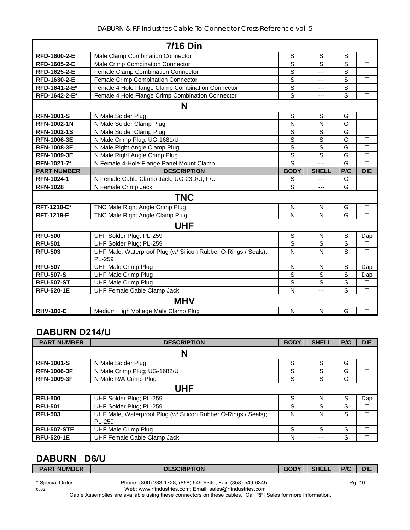| <b>7/16 Din</b>    |                                                                          |                |                |                |                         |  |
|--------------------|--------------------------------------------------------------------------|----------------|----------------|----------------|-------------------------|--|
| RFD-1600-2-E       | Male Clamp Combination Connector                                         | $\mathsf S$    | $\mathbf S$    | $\mathsf{S}$   | T                       |  |
| RFD-1605-2-E       | <b>Male Crimp Combination Connector</b>                                  | $\overline{s}$ | S              | S              | T                       |  |
| RFD-1625-2-E       | Female Clamp Combination Connector                                       | $\overline{s}$ | ---            | S              | $\overline{\mathsf{T}}$ |  |
| RFD-1630-2-E       | Female Crimp Combination Connector                                       | $\overline{s}$ | $\overline{a}$ | S              | T                       |  |
| RFD-1641-2-E*      | Female 4 Hole Flange Clamp Combination Connector                         | $\overline{s}$ | ---            | $\overline{s}$ | $\overline{\mathsf{T}}$ |  |
| RFD-1642-2-E*      | Female 4 Hole Flange Crimp Combination Connector                         | S              | $\overline{a}$ | S              | $\mathsf{T}$            |  |
|                    | N                                                                        |                |                |                |                         |  |
| <b>RFN-1001-S</b>  | N Male Solder Plug                                                       | $\mathsf S$    | S              | G              | $\mathsf{T}$            |  |
| <b>RFN-1002-1N</b> | N Male Solder Clamp Plug                                                 | N              | N              | G              | $\mathsf{T}$            |  |
| <b>RFN-1002-1S</b> | N Male Solder Clamp Plug                                                 | $\mathsf{S}$   | S              | G              | $\overline{\mathsf{T}}$ |  |
| <b>RFN-1006-3E</b> | N Male Crimp Plug; UG-1681/U                                             | S              | S              | G              | T                       |  |
| <b>RFN-1008-3E</b> | N Male Right Angle Clamp Plug                                            | $\overline{s}$ | $\overline{s}$ | G              | $\overline{\mathsf{T}}$ |  |
| RFN-1009-3E        | N Male Right Angle Crimp Plug                                            | $\mathsf{S}$   | $\mathbf S$    | G              | $\mathsf T$             |  |
| RFN-1021-7*        | N Female 4-Hole Flange Panel Mount Clamp                                 | S              | ---            | G              | $\overline{\mathsf{T}}$ |  |
| <b>PART NUMBER</b> | <b>DESCRIPTION</b>                                                       | <b>BODY</b>    | <b>SHELL</b>   | P/C            | <b>DIE</b>              |  |
| RFN-1024-1         | N Female Cable Clamp Jack; UG-23D/U, F/U                                 | S              | ---            | G              | $\mathsf{T}$            |  |
| <b>RFN-1028</b>    | N Female Crimp Jack                                                      | $\overline{s}$ | ---            | G              | T                       |  |
|                    | <b>TNC</b>                                                               |                |                |                |                         |  |
| RFT-1218-E*        | TNC Male Right Angle Crimp Plug                                          | N              | N              | G              | Τ                       |  |
| <b>RFT-1219-E</b>  | TNC Male Right Angle Clamp Plug                                          | N              | N              | G              | $\mathsf{T}$            |  |
|                    | <b>UHF</b>                                                               |                |                |                |                         |  |
| <b>RFU-500</b>     | UHF Solder Plug; PL-259                                                  | $\mathbb S$    | N              | $\mathbb S$    | Dap                     |  |
| <b>RFU-501</b>     | UHF Solder Plug; PL-259                                                  | $\mathsf S$    | S              | $\mathsf S$    | $\sf T$                 |  |
| <b>RFU-503</b>     | UHF Male, Waterproof Plug (w/ Silicon Rubber O-Rings / Seals);<br>PL-259 | N              | N              | S              | $\overline{1}$          |  |
| <b>RFU-507</b>     | <b>UHF Male Crimp Plug</b>                                               | N              | N              | S              | Dap                     |  |
| <b>RFU-507-S</b>   | <b>UHF Male Crimp Plug</b>                                               | S              | S              | S              | Dap                     |  |
| <b>RFU-507-ST</b>  | <b>UHF Male Crimp Plug</b>                                               | $\mathsf S$    | S              | S              | T                       |  |
| <b>RFU-520-1E</b>  | UHF Female Cable Clamp Jack                                              | N              | ---            | S              | $\overline{\mathsf{T}}$ |  |
|                    | <b>MHV</b>                                                               |                |                |                |                         |  |
| <b>RHV-100-E</b>   | Medium High Voltage Male Clamp Plug                                      | N              | N              | G              | $\mathsf T$             |  |

## **DABURN D214/U**

| <b>PART NUMBER</b> | <b>DESCRIPTION</b>                                                       | <b>BODY</b> | <b>SHELL</b> | P/C | <b>DIE</b> |  |  |
|--------------------|--------------------------------------------------------------------------|-------------|--------------|-----|------------|--|--|
|                    | N                                                                        |             |              |     |            |  |  |
| <b>RFN-1001-S</b>  | N Male Solder Plug                                                       | S           | S            | G   |            |  |  |
| <b>RFN-1006-3F</b> | N Male Crimp Plug; UG-1682/U                                             | S           | S            | G   |            |  |  |
| <b>RFN-1009-3F</b> | N Male R/A Crimp Plug                                                    | S           | S            | G   |            |  |  |
| UHF                |                                                                          |             |              |     |            |  |  |
| <b>RFU-500</b>     | UHF Solder Plug; PL-259                                                  | S           | N            | S   | Dap        |  |  |
| <b>RFU-501</b>     | UHF Solder Plug; PL-259                                                  | S           | S            | S   |            |  |  |
| <b>RFU-503</b>     | UHF Male, Waterproof Plug (w/ Silicon Rubber O-Rings / Seals);<br>PL-259 | N           | N            | S   |            |  |  |
| <b>RFU-507-STF</b> | <b>UHF Male Crimp Plug</b>                                               | S           | S            | S   |            |  |  |
| <b>RFU-520-1E</b>  | UHF Female Cable Clamp Jack                                              | N           | ---          | S   |            |  |  |

## **DABURN D6/U**

| <b>PART NUMBER</b> | <b>DESCRIPTION</b>                                         | <b>BODY</b> | <b>SHELL</b> | P/C | <b>DIE</b> |
|--------------------|------------------------------------------------------------|-------------|--------------|-----|------------|
| * Special Order    | Phone: (800) 233-1728, (858) 549-6340; Fax: (858) 549-6345 |             |              |     | Pg. 10     |

0602 Web: www.rfindustries.com; Email: sales@rfindustries.com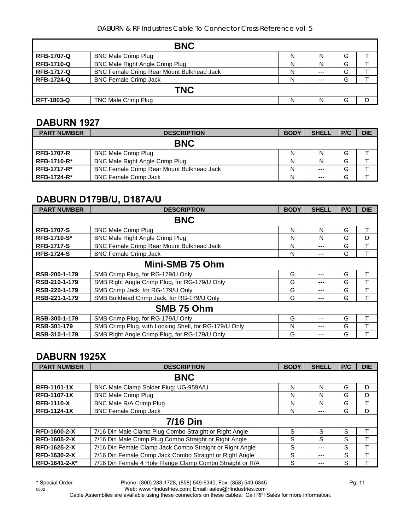|                   | <b>BNC</b>                                       |   |       |   |  |  |
|-------------------|--------------------------------------------------|---|-------|---|--|--|
| <b>RFB-1707-Q</b> | <b>BNC Male Crimp Plug</b>                       | N | N     | G |  |  |
| <b>RFB-1710-Q</b> | <b>BNC Male Right Angle Crimp Plug</b>           | N | N     | G |  |  |
| <b>RFB-1717-Q</b> | <b>BNC Female Crimp Rear Mount Bulkhead Jack</b> | N | $---$ | G |  |  |
| <b>RFB-1724-Q</b> | <b>BNC Female Crimp Jack</b>                     | N | $---$ | G |  |  |
| <b>TNC</b>        |                                                  |   |       |   |  |  |
| <b>RFT-1803-Q</b> | <b>TNC Male Crimp Plug</b>                       | N | N     | G |  |  |

## **DABURN 1927**

| <b>PART NUMBER</b> | <b>DESCRIPTION</b>                               | <b>BODY</b> | <b>SHELL</b> | P/C | <b>DIE</b> |
|--------------------|--------------------------------------------------|-------------|--------------|-----|------------|
|                    | <b>BNC</b>                                       |             |              |     |            |
| <b>RFB-1707-R</b>  | <b>BNC Male Crimp Plug</b>                       | N           |              | G   |            |
| <b>RFB-1710-R*</b> | <b>BNC Male Right Angle Crimp Plug</b>           | N           |              | G   |            |
| <b>RFB-1717-R*</b> | <b>BNC Female Crimp Rear Mount Bulkhead Jack</b> | N           | $---$        | G   |            |
| <b>RFB-1724-R*</b> | <b>BNC Female Crimp Jack</b>                     | N           | $---$        | G   |            |

## **DABURN D179B/U, D187A/U**

| <b>PART NUMBER</b> | <b>DESCRIPTION</b>                                    | <b>BODY</b> | <b>SHELL</b> | P/C | <b>DIE</b> |  |
|--------------------|-------------------------------------------------------|-------------|--------------|-----|------------|--|
|                    | <b>BNC</b>                                            |             |              |     |            |  |
| <b>RFB-1707-S</b>  | <b>BNC Male Crimp Plug</b>                            | N           | N            | G   | т          |  |
| <b>RFB-1710-S*</b> | <b>BNC Male Right Angle Crimp Plug</b>                | N           | N            | G   | D          |  |
| <b>RFB-1717-S</b>  | <b>BNC Female Crimp Rear Mount Bulkhead Jack</b>      | N           | ---          | G   | т          |  |
| <b>RFB-1724-S</b>  | <b>BNC Female Crimp Jack</b>                          | N           | ---          | G   |            |  |
| Mini-SMB 75 Ohm    |                                                       |             |              |     |            |  |
| RSB-200-1-179      | SMB Crimp Plug, for RG-179/U Only                     | G           | ---          | G   | т          |  |
| RSB-210-1-179      | SMB Right Angle Crimp Plug, for RG-179/U Only         | G           | ---          | G   |            |  |
| RSB-220-1-179      | SMB Crimp Jack, for RG-179/U Only                     | G           | ---          | G   |            |  |
| RSB-221-1-179      | SMB Bulkhead Crimp Jack, for RG-179/U Only            | G           | ---          | G   |            |  |
| SMB 75 Ohm         |                                                       |             |              |     |            |  |
| RSB-300-1-179      | SMB Crimp Plug, for RG-179/U Only                     | G           | ---          | G   | т          |  |
| RSB-301-179        | SMB Crimp Plug, with Locking Shell, for RG-179/U Only | N           | ---          | G   | т          |  |
| RSB-310-1-179      | SMB Right Angle Crimp Plug, for RG-179/U Only         | G           | ---          | G   |            |  |

## **DABURN 1925X**

| <b>PART NUMBER</b>  | <b>DESCRIPTION</b>                                        | <b>BODY</b> | <b>SHELL</b> | P/C | <b>DIE</b> |  |
|---------------------|-----------------------------------------------------------|-------------|--------------|-----|------------|--|
| <b>BNC</b>          |                                                           |             |              |     |            |  |
| <b>RFB-1101-1X</b>  | BNC Male Clamp Solder Plug; UG-959A/U                     | N           | N            | G   | D          |  |
| <b>RFB-1107-1X</b>  | <b>BNC Male Crimp Plug</b>                                | N           | N            | G   | D          |  |
| <b>RFB-1110-X</b>   | BNC Male R/A Crimp Plug                                   | N           | N            | G   |            |  |
| <b>RFB-1124-1X</b>  | <b>BNC Female Crimp Jack</b>                              | N           | ---          | G   | D          |  |
|                     | <b>7/16 Din</b>                                           |             |              |     |            |  |
| <b>RFD-1600-2-X</b> | 7/16 Din Male Clamp Plug Combo Straight or Right Angle    | S           | S            | S   |            |  |
| <b>RFD-1605-2-X</b> | 7/16 Din Male Crimp Plug Combo Straight or Right Angle    | S           | S            | S   |            |  |
| RFD-1625-2-X        | 7/16 Din Female Clamp Jack Combo Straight or Right Angle  | S           | ---          | S   |            |  |
| RFD-1630-2-X        | 7/16 Din Female Crimp Jack Combo Straight or Right Angle  | S           | ---          | S   |            |  |
| RFD-1641-2-X*       | 7/16 Din Female 4 Hole Flange Clamp Combo Straight or R/A | S           | ---          | S   |            |  |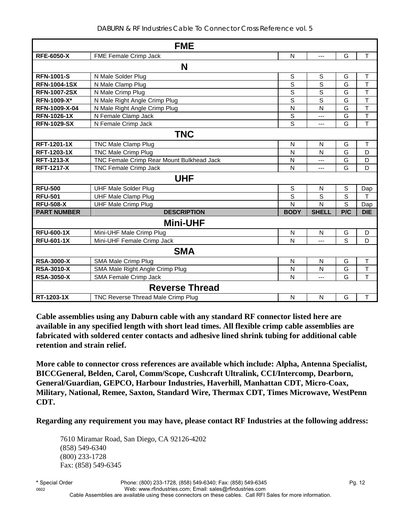| <b>FME</b>          |                                           |                         |                |     |                         |  |  |
|---------------------|-------------------------------------------|-------------------------|----------------|-----|-------------------------|--|--|
| <b>RFE-6050-X</b>   | FME Female Crimp Jack                     | N                       | ---            | G   | Τ                       |  |  |
|                     | N                                         |                         |                |     |                         |  |  |
| <b>RFN-1001-S</b>   | N Male Solder Plug                        | S                       | $\mathsf{S}$   | G   | T                       |  |  |
| <b>RFN-1004-1SX</b> | N Male Clamp Plug                         | S                       | S              | G   | T                       |  |  |
| <b>RFN-1007-2SX</b> | N Male Crimp Plug                         | $\overline{s}$          | S              | G   | $\overline{\mathsf{T}}$ |  |  |
| <b>RFN-1009-X*</b>  | N Male Right Angle Crimp Plug             | S                       | S              | G   | T                       |  |  |
| RFN-1009-X-04       | N Male Right Angle Crimp Plug             | N                       | N              | G   | T                       |  |  |
| <b>RFN-1026-1X</b>  | N Female Clamp Jack                       | $\mathsf S$             | ---            | G   | T                       |  |  |
| <b>RFN-1029-SX</b>  | N Female Crimp Jack                       | S                       | ---            | G   | T                       |  |  |
|                     | <b>TNC</b>                                |                         |                |     |                         |  |  |
| <b>RFT-1201-1X</b>  | TNC Male Clamp Plug                       | N                       | N              | G   | T                       |  |  |
| RFT-1203-1X         | <b>TNC Male Crimp Plug</b>                | N                       | N              | G   | D                       |  |  |
| <b>RFT-1213-X</b>   | TNC Female Crimp Rear Mount Bulkhead Jack | N                       | ---            | G   | D                       |  |  |
| <b>RFT-1217-X</b>   | <b>TNC Female Crimp Jack</b>              | $\mathsf{N}$            | $\overline{a}$ | G   | D                       |  |  |
|                     | <b>UHF</b>                                |                         |                |     |                         |  |  |
| <b>RFU-500</b>      | <b>UHF Male Solder Plug</b>               | S                       | N              | S   | Dap                     |  |  |
| <b>RFU-501</b>      | <b>UHF Male Clamp Plug</b>                | S                       | S              | S   | T                       |  |  |
| <b>RFU-508-X</b>    | <b>UHF Male Crimp Plug</b>                | N                       | N              | S   | Dap                     |  |  |
| <b>PART NUMBER</b>  | <b>DESCRIPTION</b>                        | <b>BODY</b>             | <b>SHELL</b>   | P/C | <b>DIE</b>              |  |  |
|                     | <b>Mini-UHF</b>                           |                         |                |     |                         |  |  |
| <b>RFU-600-1X</b>   | Mini-UHF Male Crimp Plug                  | $\overline{\mathsf{N}}$ | N              | G   | D                       |  |  |
| <b>RFU-601-1X</b>   | Mini-UHF Female Crimp Jack                | $\mathsf{N}$            | $\overline{a}$ | S   | D                       |  |  |
| <b>SMA</b>          |                                           |                         |                |     |                         |  |  |
| <b>RSA-3000-X</b>   | SMA Male Crimp Plug                       | N                       | N              | G   | $\top$                  |  |  |
| <b>RSA-3010-X</b>   | SMA Male Right Angle Crimp Plug           | N                       | N              | G   | T                       |  |  |
| <b>RSA-3050-X</b>   | SMA Female Crimp Jack                     | $\mathsf{N}$            | ---            | G   | T                       |  |  |
|                     | <b>Reverse Thread</b>                     |                         |                |     |                         |  |  |
| RT-1203-1X          | TNC Reverse Thread Male Crimp Plug        | N                       | N              | G   | T                       |  |  |

**Cable assemblies using any Daburn cable with any standard RF connector listed here are available in any specified length with short lead times. All flexible crimp cable assemblies are fabricated with soldered center contacts and adhesive lined shrink tubing for additional cable retention and strain relief.** 

**More cable to connector cross references are available which include: Alpha, Antenna Specialist, BICCGeneral, Belden, Carol, Comm/Scope, Cushcraft Ultralink, CCI/Intercomp, Dearborn, General/Guardian, GEPCO, Harbour Industries, Haverhill, Manhattan CDT, Micro-Coax, Military, National, Remee, Saxton, Standard Wire, Thermax CDT, Times Microwave, WestPenn CDT.** 

**Regarding any requirement you may have, please contact RF Industries at the following address:**

7610 Miramar Road, San Diego, CA 92126-4202 (858) 549-6340 (800) 233-1728 Fax: (858) 549-6345